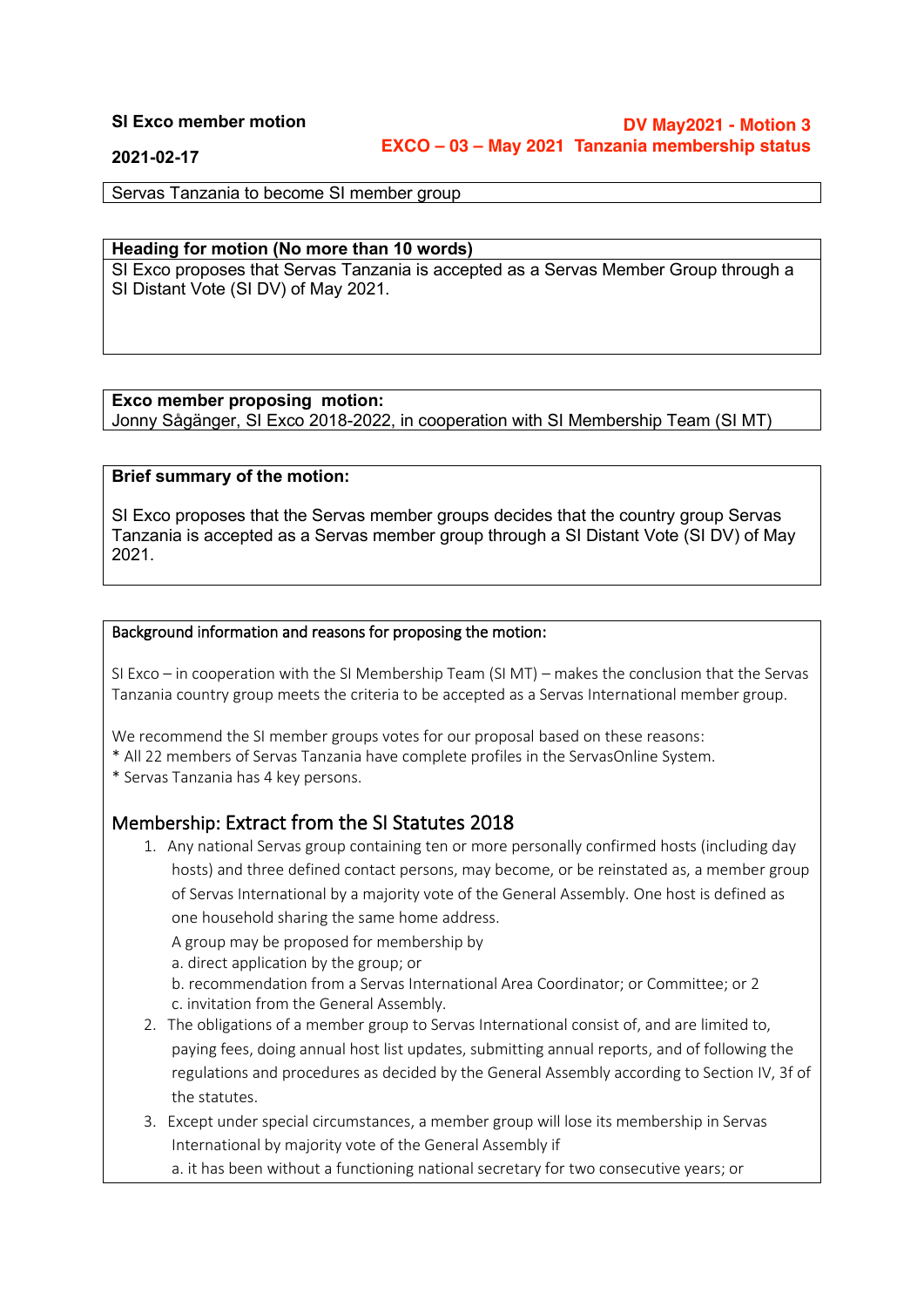#### **SI Exco member motion**

**DV May2021 - Motion 3 EXCO – 03 – May 2021 Tanzania membership status**

**2021-02-17**

Servas Tanzania to become SI member group

#### **Heading for motion (No more than 10 words)**

SI Exco proposes that Servas Tanzania is accepted as a Servas Member Group through a SI Distant Vote (SI DV) of May 2021.

#### **Exco member proposing motion:**

Jonny Sågänger, SI Exco 2018-2022, in cooperation with SI Membership Team (SI MT)

#### **Brief summary of the motion:**

SI Exco proposes that the Servas member groups decides that the country group Servas Tanzania is accepted as a Servas member group through a SI Distant Vote (SI DV) of May 2021.

#### Background information and reasons for proposing the motion:

SI Exco – in cooperation with the SI Membership Team (SI MT) – makes the conclusion that the Servas Tanzania country group meets the criteria to be accepted as a Servas International member group.

We recommend the SI member groups votes for our proposal based on these reasons:

- \* All 22 members of Servas Tanzania have complete profiles in the ServasOnline System.
- \* Servas Tanzania has 4 key persons.

#### Membership: Extract from the SI Statutes 2018

1. Any national Servas group containing ten or more personally confirmed hosts (including day hosts) and three defined contact persons, may become, or be reinstated as, a member group of Servas International by a majority vote of the General Assembly. One host is defined as one household sharing the same home address.

A group may be proposed for membership by

a. direct application by the group; or

b. recommendation from a Servas International Area Coordinator; or Committee; or 2 c. invitation from the General Assembly.

- 2. The obligations of a member group to Servas International consist of, and are limited to, paying fees, doing annual host list updates, submitting annual reports, and of following the regulations and procedures as decided by the General Assembly according to Section IV, 3f of the statutes.
- 3. Except under special circumstances, a member group will lose its membership in Servas International by majority vote of the General Assembly if

a. it has been without a functioning national secretary for two consecutive years; or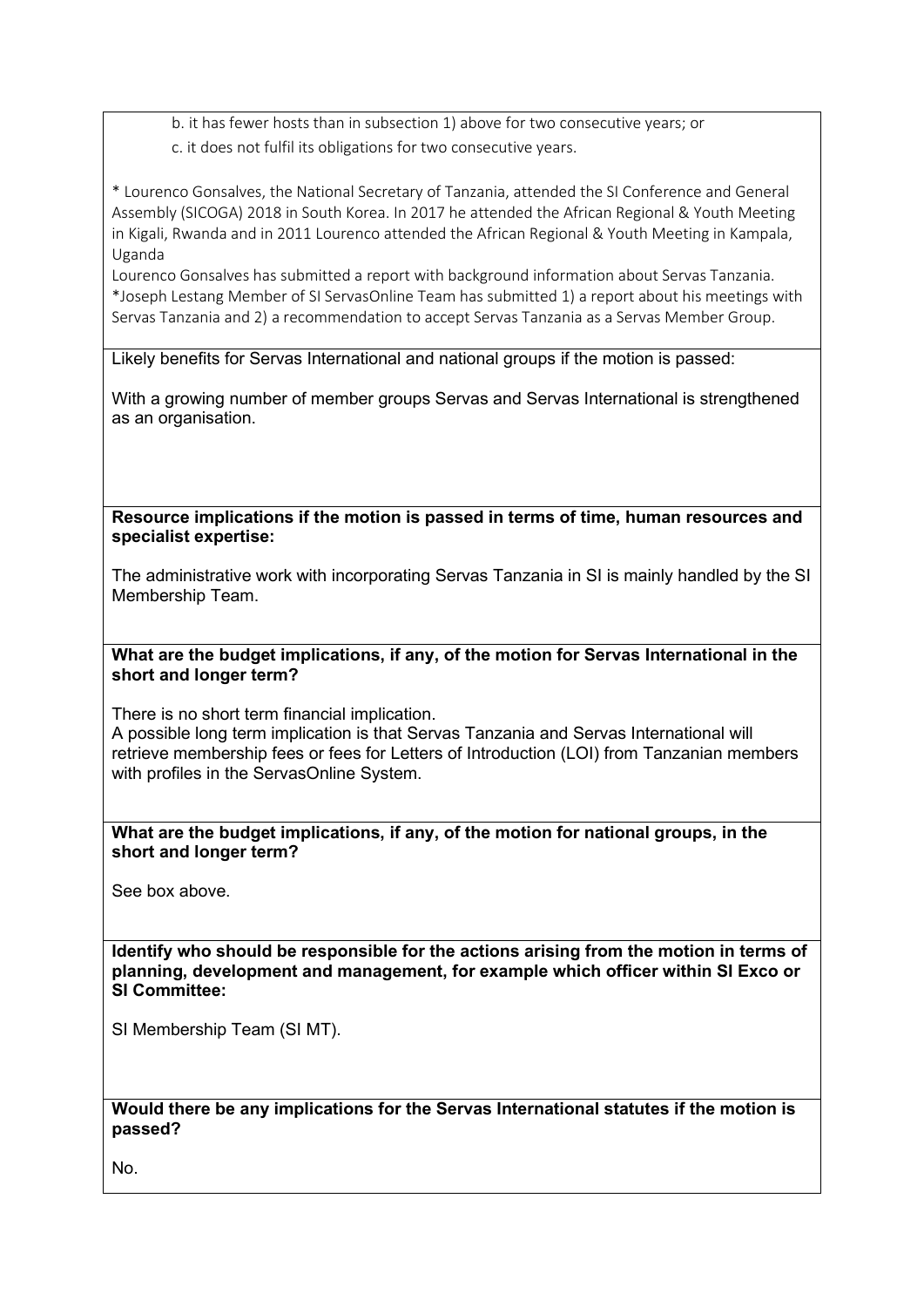b. it has fewer hosts than in subsection 1) above for two consecutive years; or c. it does not fulfil its obligations for two consecutive years.

\* Lourenco Gonsalves, the National Secretary of Tanzania, attended the SI Conference and General Assembly (SICOGA) 2018 in South Korea. In 2017 he attended the African Regional & Youth Meeting in Kigali, Rwanda and in 2011 Lourenco attended the African Regional & Youth Meeting in Kampala, Uganda

Lourenco Gonsalves has submitted a report with background information about Servas Tanzania. \*Joseph Lestang Member of SI ServasOnline Team has submitted 1) a report about his meetings with Servas Tanzania and 2) a recommendation to accept Servas Tanzania as a Servas Member Group.

Likely benefits for Servas International and national groups if the motion is passed:

With a growing number of member groups Servas and Servas International is strengthened as an organisation.

**Resource implications if the motion is passed in terms of time, human resources and specialist expertise:**

The administrative work with incorporating Servas Tanzania in SI is mainly handled by the SI Membership Team.

**What are the budget implications, if any, of the motion for Servas International in the short and longer term?**

There is no short term financial implication. A possible long term implication is that Servas Tanzania and Servas International will retrieve membership fees or fees for Letters of Introduction (LOI) from Tanzanian members with profiles in the ServasOnline System.

**What are the budget implications, if any, of the motion for national groups, in the short and longer term?**

See box above.

**Identify who should be responsible for the actions arising from the motion in terms of planning, development and management, for example which officer within SI Exco or SI Committee:**

SI Membership Team (SI MT).

**Would there be any implications for the Servas International statutes if the motion is passed?**

No.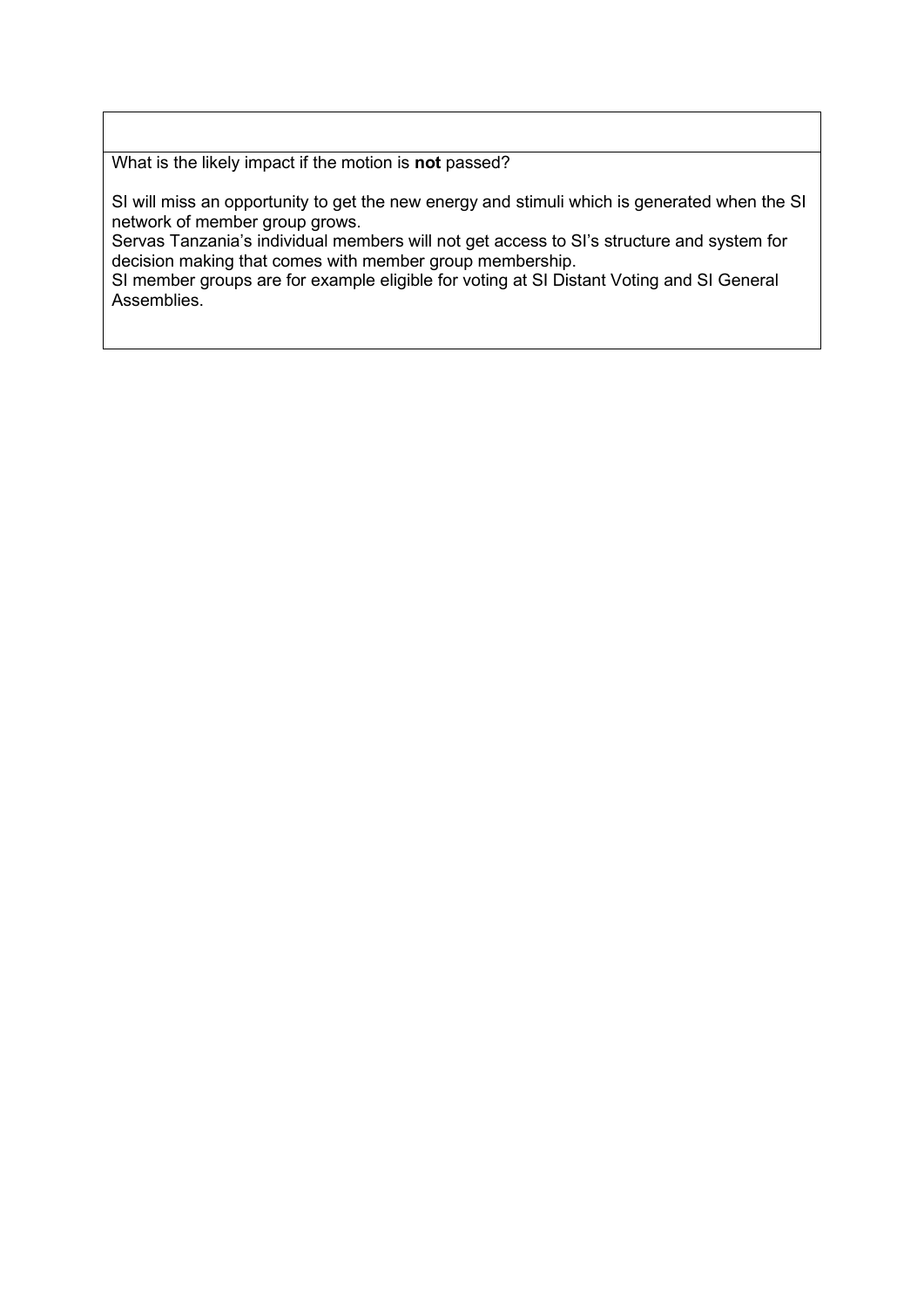What is the likely impact if the motion is **not** passed?

SI will miss an opportunity to get the new energy and stimuli which is generated when the SI network of member group grows.

Servas Tanzania's individual members will not get access to SI's structure and system for decision making that comes with member group membership.

SI member groups are for example eligible for voting at SI Distant Voting and SI General Assemblies.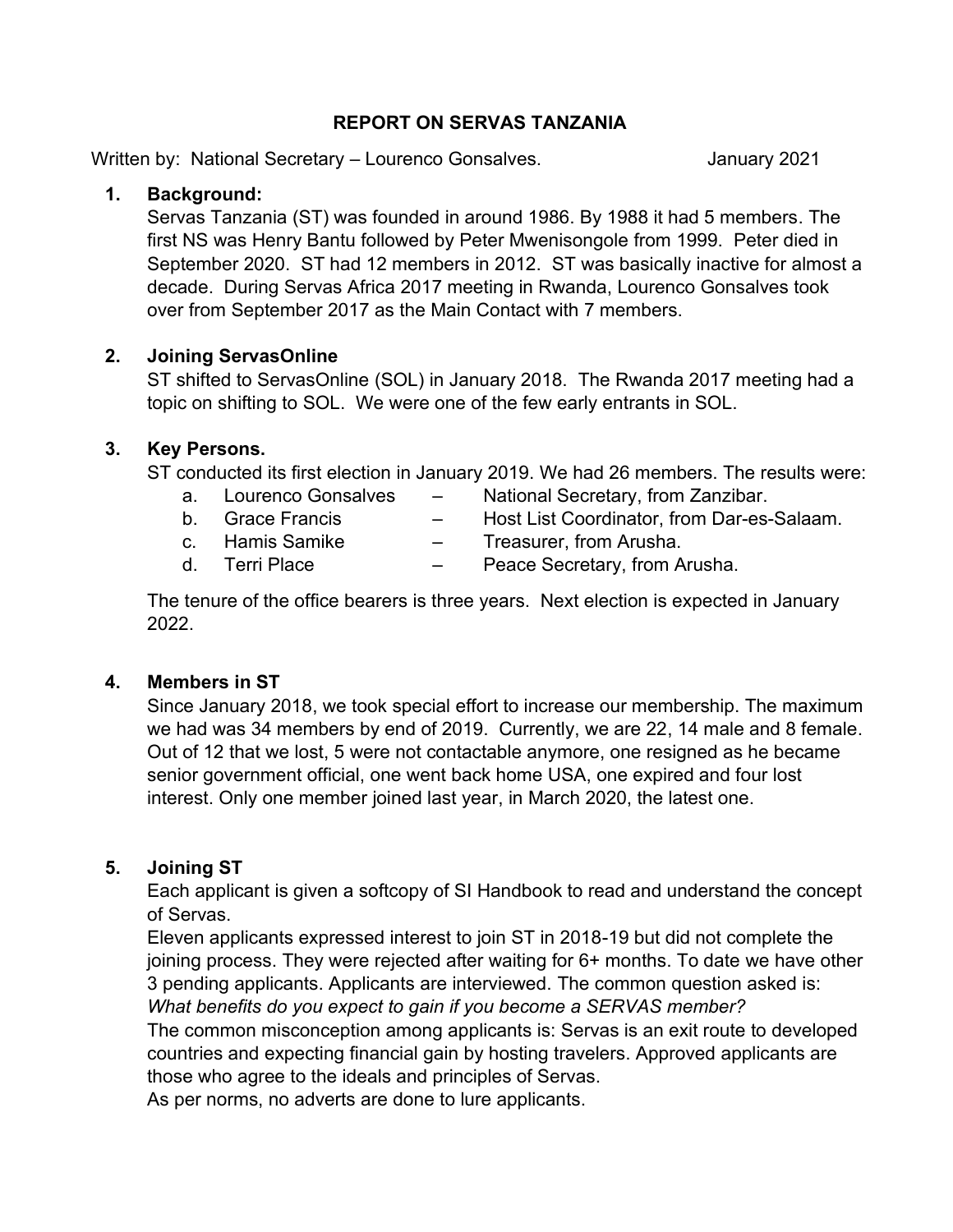### **REPORT ON SERVAS TANZANIA**

Written by: National Secretary – Lourenco Gonsalves. The Summary 2021

# **1. Background:**

Servas Tanzania (ST) was founded in around 1986. By 1988 it had 5 members. The first NS was Henry Bantu followed by Peter Mwenisongole from 1999. Peter died in September 2020. ST had 12 members in 2012. ST was basically inactive for almost a decade. During Servas Africa 2017 meeting in Rwanda, Lourenco Gonsalves took over from September 2017 as the Main Contact with 7 members.

### **2. Joining ServasOnline**

ST shifted to ServasOnline (SOL) in January 2018. The Rwanda 2017 meeting had a topic on shifting to SOL. We were one of the few early entrants in SOL.

### **3. Key Persons.**

ST conducted its first election in January 2019. We had 26 members. The results were:

- a. Lourenco Gonsalves National Secretary, from Zanzibar.
- 
- 
- b. Grace Francis Host List Coordinator, from Dar-es-Salaam.
- c. Hamis Samike Treasurer, from Arusha.
- d. Terri Place Peace Secretary, from Arusha.

The tenure of the office bearers is three years. Next election is expected in January 2022.

# **4. Members in ST**

Since January 2018, we took special effort to increase our membership. The maximum we had was 34 members by end of 2019. Currently, we are 22, 14 male and 8 female. Out of 12 that we lost, 5 were not contactable anymore, one resigned as he became senior government official, one went back home USA, one expired and four lost interest. Only one member joined last year, in March 2020, the latest one.

# **5. Joining ST**

Each applicant is given a softcopy of SI Handbook to read and understand the concept of Servas.

Eleven applicants expressed interest to join ST in 2018-19 but did not complete the joining process. They were rejected after waiting for 6+ months. To date we have other 3 pending applicants. Applicants are interviewed. The common question asked is: *What benefits do you expect to gain if you become a SERVAS member?*  The common misconception among applicants is: Servas is an exit route to developed countries and expecting financial gain by hosting travelers. Approved applicants are those who agree to the ideals and principles of Servas.

As per norms, no adverts are done to lure applicants.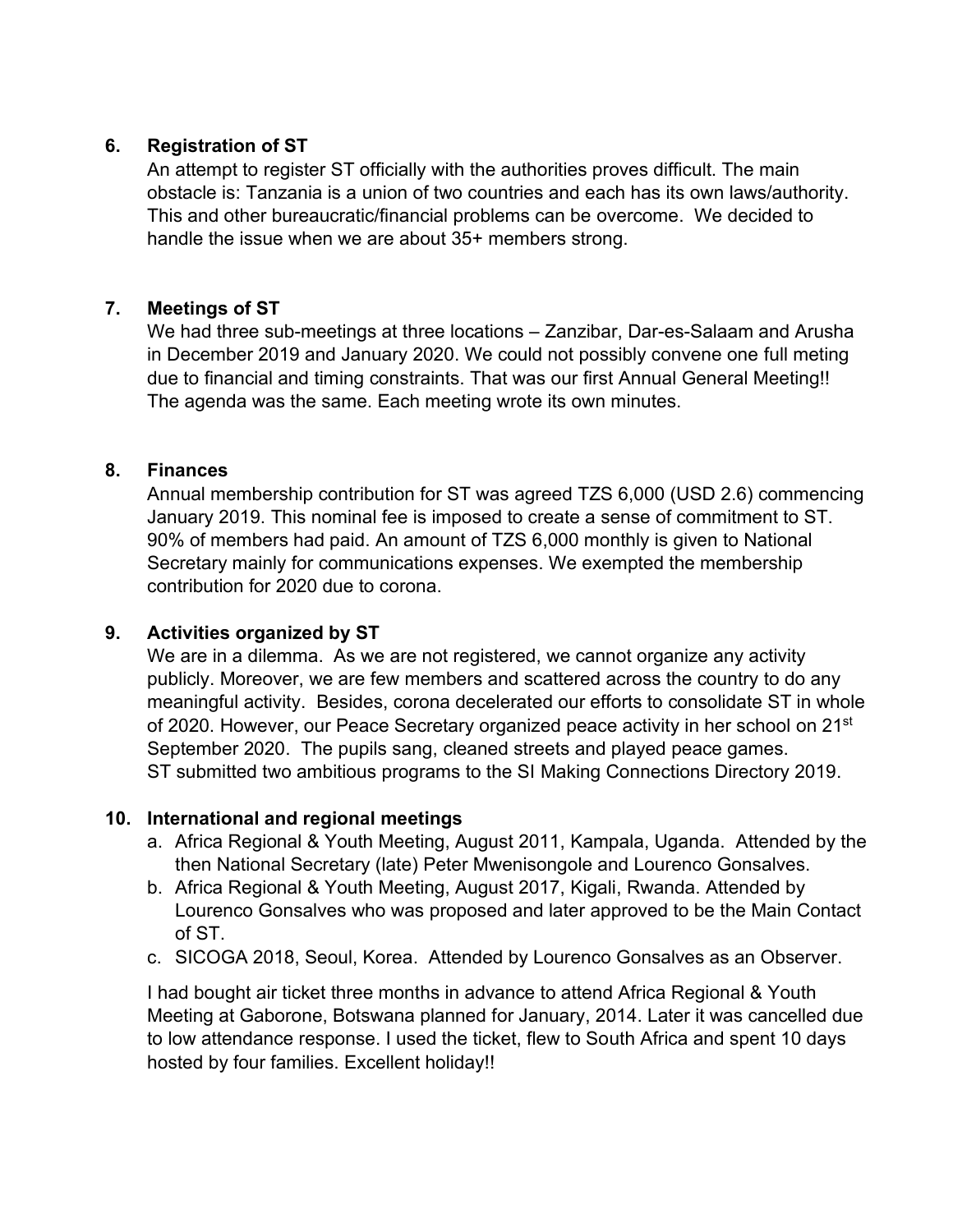# **6. Registration of ST**

An attempt to register ST officially with the authorities proves difficult. The main obstacle is: Tanzania is a union of two countries and each has its own laws/authority. This and other bureaucratic/financial problems can be overcome. We decided to handle the issue when we are about 35+ members strong.

# **7. Meetings of ST**

We had three sub-meetings at three locations – Zanzibar, Dar-es-Salaam and Arusha in December 2019 and January 2020. We could not possibly convene one full meting due to financial and timing constraints. That was our first Annual General Meeting!! The agenda was the same. Each meeting wrote its own minutes.

# **8. Finances**

Annual membership contribution for ST was agreed TZS 6,000 (USD 2.6) commencing January 2019. This nominal fee is imposed to create a sense of commitment to ST. 90% of members had paid. An amount of TZS 6,000 monthly is given to National Secretary mainly for communications expenses. We exempted the membership contribution for 2020 due to corona.

# **9. Activities organized by ST**

We are in a dilemma. As we are not registered, we cannot organize any activity publicly. Moreover, we are few members and scattered across the country to do any meaningful activity. Besides, corona decelerated our efforts to consolidate ST in whole of 2020. However, our Peace Secretary organized peace activity in her school on 21st September 2020. The pupils sang, cleaned streets and played peace games. ST submitted two ambitious programs to the SI Making Connections Directory 2019.

# **10. International and regional meetings**

- a. Africa Regional & Youth Meeting, August 2011, Kampala, Uganda. Attended by the then National Secretary (late) Peter Mwenisongole and Lourenco Gonsalves.
- b. Africa Regional & Youth Meeting, August 2017, Kigali, Rwanda. Attended by Lourenco Gonsalves who was proposed and later approved to be the Main Contact of ST.
- c. SICOGA 2018, Seoul, Korea. Attended by Lourenco Gonsalves as an Observer.

I had bought air ticket three months in advance to attend Africa Regional & Youth Meeting at Gaborone, Botswana planned for January, 2014. Later it was cancelled due to low attendance response. I used the ticket, flew to South Africa and spent 10 days hosted by four families. Excellent holiday!!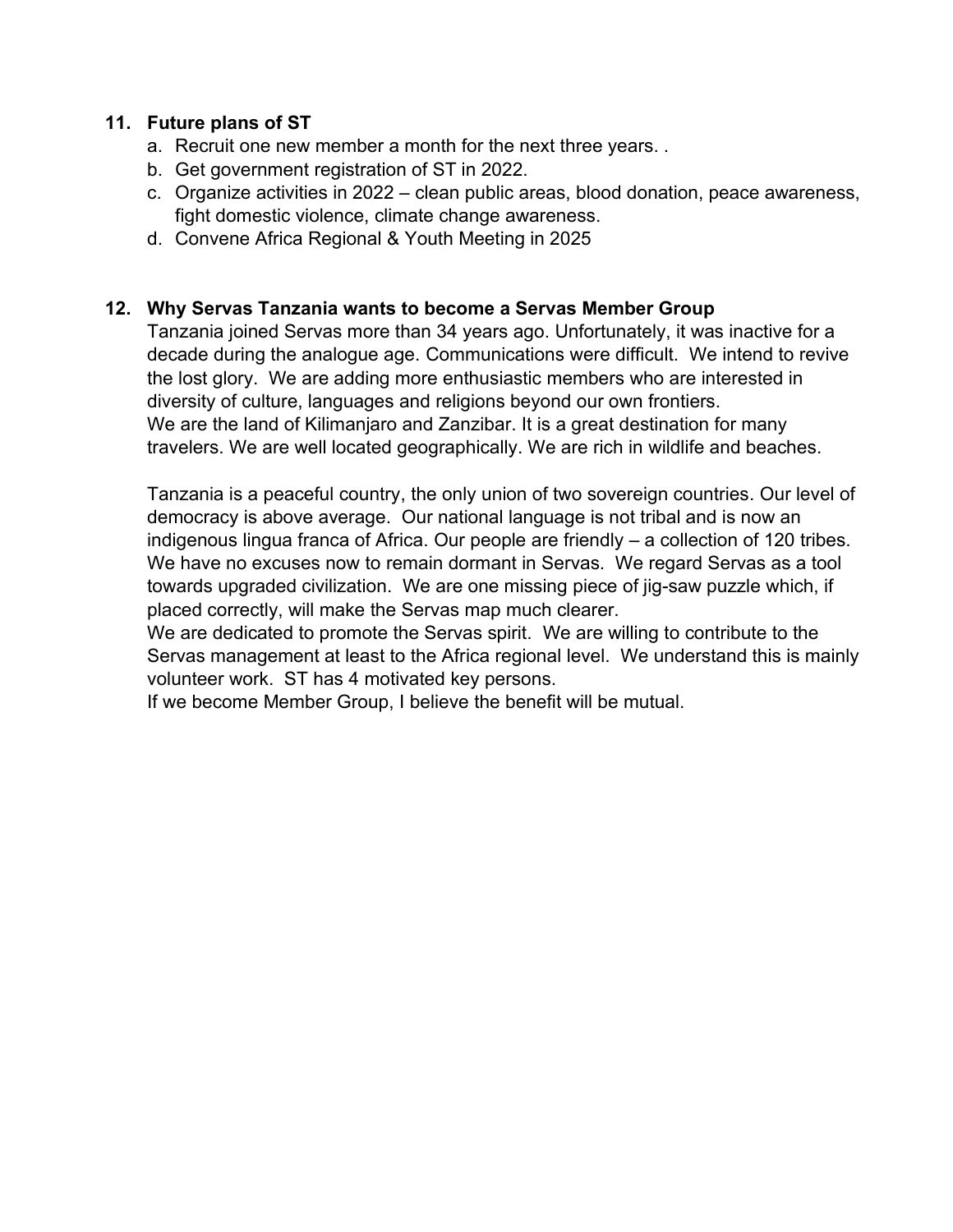### **11. Future plans of ST**

- a. Recruit one new member a month for the next three years. .
- b. Get government registration of ST in 2022.
- c. Organize activities in 2022 clean public areas, blood donation, peace awareness, fight domestic violence, climate change awareness.
- d. Convene Africa Regional & Youth Meeting in 2025

### **12. Why Servas Tanzania wants to become a Servas Member Group**

Tanzania joined Servas more than 34 years ago. Unfortunately, it was inactive for a decade during the analogue age. Communications were difficult. We intend to revive the lost glory. We are adding more enthusiastic members who are interested in diversity of culture, languages and religions beyond our own frontiers. We are the land of Kilimanjaro and Zanzibar. It is a great destination for many travelers. We are well located geographically. We are rich in wildlife and beaches.

Tanzania is a peaceful country, the only union of two sovereign countries. Our level of democracy is above average. Our national language is not tribal and is now an indigenous lingua franca of Africa. Our people are friendly – a collection of 120 tribes. We have no excuses now to remain dormant in Servas. We regard Servas as a tool towards upgraded civilization. We are one missing piece of jig-saw puzzle which, if placed correctly, will make the Servas map much clearer.

We are dedicated to promote the Servas spirit. We are willing to contribute to the Servas management at least to the Africa regional level. We understand this is mainly volunteer work. ST has 4 motivated key persons.

If we become Member Group, I believe the benefit will be mutual.